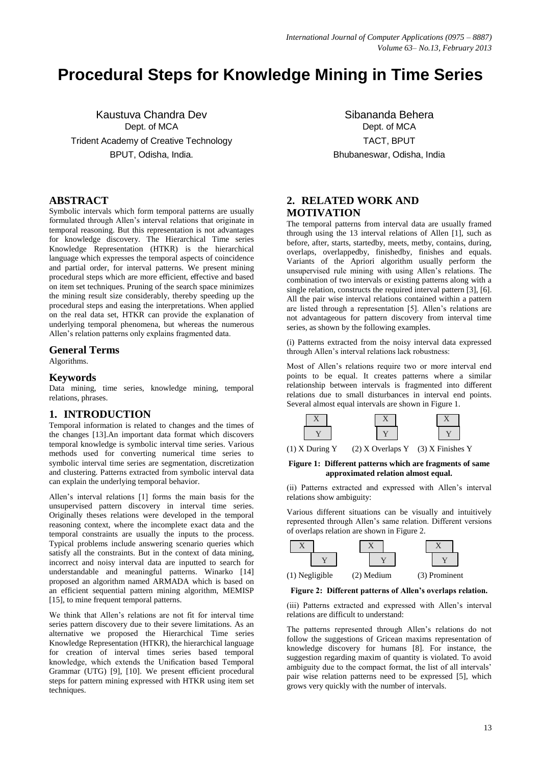# **Procedural Steps for Knowledge Mining in Time Series**

Kaustuva Chandra Dev Dept. of MCA Trident Academy of Creative Technology BPUT, Odisha, India.

## **ABSTRACT**

Symbolic intervals which form temporal patterns are usually formulated through Allen's interval relations that originate in temporal reasoning. But this representation is not advantages for knowledge discovery. The Hierarchical Time series Knowledge Representation (HTKR) is the hierarchical language which expresses the temporal aspects of coincidence and partial order, for interval patterns. We present mining procedural steps which are more efficient, effective and based on item set techniques. Pruning of the search space minimizes the mining result size considerably, thereby speeding up the procedural steps and easing the interpretations. When applied on the real data set, HTKR can provide the explanation of underlying temporal phenomena, but whereas the numerous Allen's relation patterns only explains fragmented data.

#### **General Terms**

Algorithms.

#### **Keywords**

Data mining, time series, knowledge mining, temporal relations, phrases.

## **1. INTRODUCTION**

Temporal information is related to changes and the times of the changes [13].An important data format which discovers temporal knowledge is symbolic interval time series. Various methods used for converting numerical time series to symbolic interval time series are segmentation, discretization and clustering. Patterns extracted from symbolic interval data can explain the underlying temporal behavior.

Allen's interval relations [1] forms the main basis for the unsupervised pattern discovery in interval time series. Originally theses relations were developed in the temporal reasoning context, where the incomplete exact data and the temporal constraints are usually the inputs to the process. Typical problems include answering scenario queries which satisfy all the constraints. But in the context of data mining, incorrect and noisy interval data are inputted to search for understandable and meaningful patterns. Winarko [14] proposed an algorithm named ARMADA which is based on an efficient sequential pattern mining algorithm, MEMISP [15], to mine frequent temporal patterns.

We think that Allen's relations are not fit for interval time series pattern discovery due to their severe limitations. As an alternative we proposed the Hierarchical Time series Knowledge Representation (HTKR), the hierarchical language for creation of interval times series based temporal knowledge, which extends the Unification based Temporal Grammar (UTG) [9], [10]. We present efficient procedural steps for pattern mining expressed with HTKR using item set techniques.

Sibananda Behera Dept. of MCA TACT, BPUT Bhubaneswar, Odisha, India

# **2. RELATED WORK AND MOTIVATION**

The temporal patterns from interval data are usually framed through using the 13 interval relations of Allen [1], such as before, after, starts, startedby, meets, metby, contains, during, overlaps, overlappedby, finishedby, finishes and equals. Variants of the Apriori algorithm usually perform the unsupervised rule mining with using Allen's relations. The combination of two intervals or existing patterns along with a single relation, constructs the required interval pattern [3], [6]. All the pair wise interval relations contained within a pattern are listed through a representation [5]. Allen's relations are not advantageous for pattern discovery from interval time series, as shown by the following examples.

(i) Patterns extracted from the noisy interval data expressed through Allen's interval relations lack robustness:

Most of Allen's relations require two or more interval end points to be equal. It creates patterns where a similar relationship between intervals is fragmented into different relations due to small disturbances in interval end points. Several almost equal intervals are shown in Figure 1.



(1) X During Y (2) X Overlaps Y (3) X Finishes Y

#### **Figure 1: Different patterns which are fragments of same approximated relation almost equal.**

(ii) Patterns extracted and expressed with Allen's interval relations show ambiguity:

Various different situations can be visually and intuitively represented through Allen's same relation. Different versions of overlaps relation are shown in Figure 2.



**Figure 2: Different patterns of Allen's overlaps relation.**

(iii) Patterns extracted and expressed with Allen's interval relations are difficult to understand:

The patterns represented through Allen's relations do not follow the suggestions of Gricean maxims representation of knowledge discovery for humans [8]. For instance, the suggestion regarding maxim of quantity is violated. To avoid ambiguity due to the compact format, the list of all intervals' pair wise relation patterns need to be expressed [5], which grows very quickly with the number of intervals.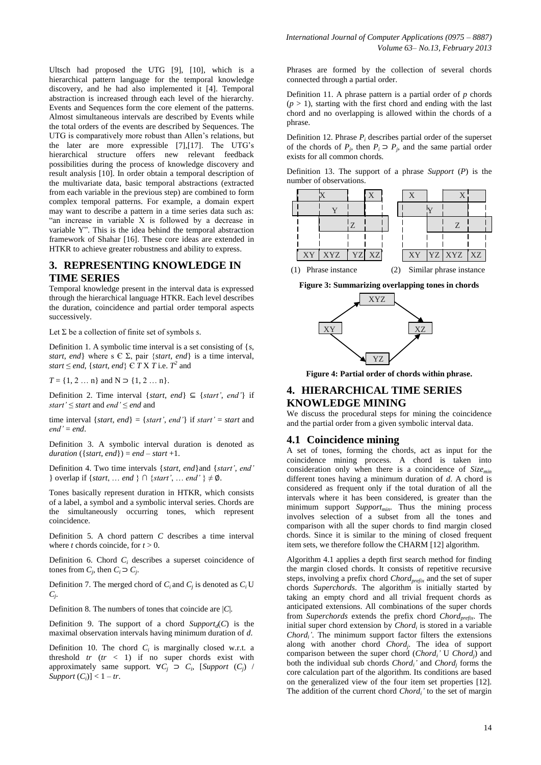Ultsch had proposed the UTG [9], [10], which is a hierarchical pattern language for the temporal knowledge discovery, and he had also implemented it [4]. Temporal abstraction is increased through each level of the hierarchy. Events and Sequences form the core element of the patterns. Almost simultaneous intervals are described by Events while the total orders of the events are described by Sequences. The UTG is comparatively more robust than Allen's relations, but the later are more expressible [7],[17]. The UTG's hierarchical structure offers new relevant feedback possibilities during the process of knowledge discovery and result analysis [10]. In order obtain a temporal description of the multivariate data, basic temporal abstractions (extracted from each variable in the previous step) are combined to form complex temporal patterns. For example, a domain expert may want to describe a pattern in a time series data such as: "an increase in variable X is followed by a decrease in variable Y". This is the idea behind the temporal abstraction framework of Shahar [16]. These core ideas are extended in HTKR to achieve greater robustness and ability to express.

## **3. REPRESENTING KNOWLEDGE IN TIME SERIES**

Temporal knowledge present in the interval data is expressed through the hierarchical language HTKR. Each level describes the duration, coincidence and partial order temporal aspects successively.

Let Σ be a collection of finite set of symbols *s*.

Definition 1. A symbolic time interval is a set consisting of {*s*, *start*, *end*} where s  $\in \Sigma$ , pair {*start*, *end*} is a time interval, *start*  $\leq$  *end*, {*start*, *end*}  $\in$  *T* X *T* i.e. *T*<sup>2</sup> and

 $T = \{1, 2 \dots n\}$  and  $N \supset \{1, 2 \dots n\}.$ 

Definition 2. Time interval {*start*, *end*} ⊆ {*start'*, *end'*} if *start'* ≤ *start* and *end'* ≤ *end* and

time interval  $\{start, end\} = \{start', end'\}$  if *start'* = *start* and  $end' \equiv end$ 

Definition 3. A symbolic interval duration is denoted as *duration* ({*start, end}*) = *end* – *start* +1.

Definition 4. Two time intervals {*start*, *end*}and {*start'*, *end'*  } overlap if {*start*, … *end* } ∩ {*start'*, … *end'* } ≠ ∅.

Tones basically represent duration in HTKR, which consists of a label, a symbol and a symbolic interval series. Chords are the simultaneously occurring tones, which represent coincidence.

Definition 5. A chord pattern *C* describes a time interval where *t* chords coincide, for  $t > 0$ .

Definition 6. Chord *C<sup>i</sup>* describes a superset coincidence of tones from  $C_j$ , then  $C_i \supset C_j$ .

Definition 7. The merged chord of  $C_i$  and  $C_j$  is denoted as  $C_i U$ *Cj* .

Definition 8. The numbers of tones that coincide are |*C*|.

Definition 9. The support of a chord  $Support_d(C)$  is the maximal observation intervals having minimum duration of *d*.

Definition 10. The chord  $C_i$  is marginally closed w.r.t. a threshold  $tr$   $(tr < 1)$  if no super chords exist with approximately same support.  $\forall C_j \supset C_i$ , [*Support* (*C<sub>j</sub>*) / *Support*  $(C_i)$ ] < 1 – *tr*.

Phrases are formed by the collection of several chords connected through a partial order.

Definition 11. A phrase pattern is a partial order of *p* chords  $(p > 1)$ , starting with the first chord and ending with the last chord and no overlapping is allowed within the chords of a phrase.

Definition 12. Phrase *P<sup>i</sup>* describes partial order of the superset of the chords of  $P_j$ , then  $P_i \supset P_j$ , and the same partial order exists for all common chords.

Definition 13. The support of a phrase *Support* (*P*) is the number of observations.



**Figure 3: Summarizing overlapping tones in chords**



**Figure 4: Partial order of chords within phrase.**

## **4. HIERARCHICAL TIME SERIES KNOWLEDGE MINING**

We discuss the procedural steps for mining the coincidence and the partial order from a given symbolic interval data.

#### **4.1 Coincidence mining**

A set of tones, forming the chords, act as input for the coincidence mining process. A chord is taken into consideration only when there is a coincidence of *Sizemin* different tones having a minimum duration of *d*. A chord is considered as frequent only if the total duration of all the intervals where it has been considered, is greater than the minimum support *Supportmin*. Thus the mining process involves selection of a subset from all the tones and comparison with all the super chords to find margin closed chords. Since it is similar to the mining of closed frequent item sets, we therefore follow the CHARM [12] algorithm.

Algorithm 4.1 applies a depth first search method for finding the margin closed chords. It consists of repetitive recursive steps, involving a prefix chord *Chordprefix* and the set of super chords *Superchords*. The algorithm is initially started by taking an empty chord and all trivial frequent chords as anticipated extensions. All combinations of the super chords from *Superchords* extends the prefix chord *Chordprefix*. The initial super chord extension by *Chord<sup>i</sup>* is stored in a variable *Chord<sup>i</sup> '*. The minimum support factor filters the extensions along with another chord *Chord<sup>j</sup>* . The idea of support comparison between the super chord (*Chord<sup>i</sup> '* U *Chord<sup>j</sup>* ) and both the individual sub chords  $Chord_i'$  and  $Chord_j$  forms the core calculation part of the algorithm. Its conditions are based on the generalized view of the four item set properties [12]. The addition of the current chord *Chord<sup>i</sup> '* to the set of margin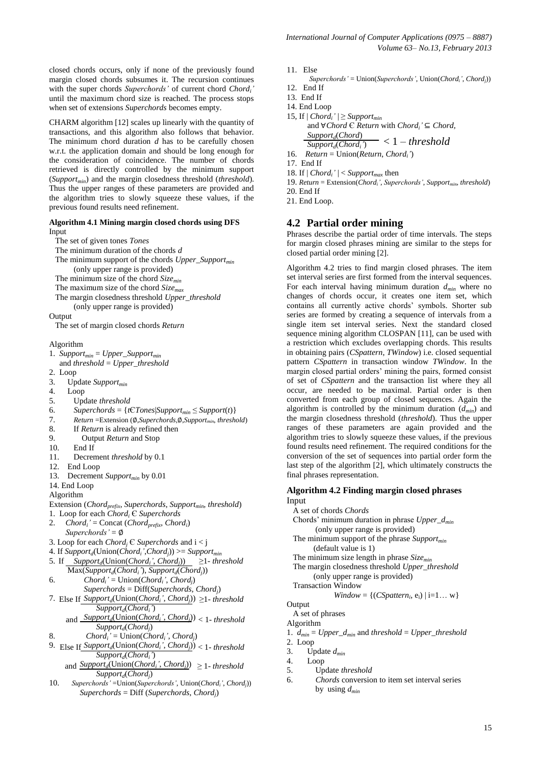closed chords occurs, only if none of the previously found margin closed chords subsumes it. The recursion continues with the super chords *Superchords'* of current chord *Chord<sub>i</sub>*<sup>'</sup> until the maximum chord size is reached. The process stops when set of extensions *Superchords* becomes empty.

CHARM algorithm [12] scales up linearly with the quantity of transactions, and this algorithm also follows that behavior. The minimum chord duration *d* has to be carefully chosen w.r.t. the application domain and should be long enough for the consideration of coincidence. The number of chords retrieved is directly controlled by the minimum support (*Supportmin*) and the margin closedness threshold (*threshold*). Thus the upper ranges of these parameters are provided and the algorithm tries to slowly squeeze these values, if the previous found results need refinement.

#### **Algorithm 4.1 Mining margin closed chords using DFS** Input

The set of given tones *Tones*

- The minimum duration of the chords *d*
- The minimum support of the chords *Upper\_Supportmin* (only upper range is provided) The minimum size of the chord *Sizemin*
- The maximum size of the chord *Sizemax*
- The margin closedness threshold *Upper\_threshold*
	- (only upper range is provided)

Output

The set of margin closed chords *Return*

Algorithm

- 1. *Supportmin* = *Upper\_Supportmin*
- and *threshold* = *Upper\_threshold*
- 2. Loop
- 3. Update *Supportmin*
- 4. Loop
- 5. Update *threshold*
- 6. *Superchords* = { $tCTones|Support_{min} \leq Support(t)$ }
- 7. *Return* =Extension (∅,*Superchords*,∅,*Supportmin*, *threshold*)
- 8. If *Return* is already refined then
- 9. Output *Return* and Stop
- 10. End If
- 11. Decrement *threshold* by 0.1
- 12. End Loop
- 13. Decrement *Supportmin* by 0.01
- 14. End Loop

Algorithm

- Extension (*Chordprefix*, *Superchords*, *Supportmin*, *threshold*)
- 1. Loop for each *Chord<sub>i</sub>*  $\in$  *Superchords*<br>2. *Chord<sub>i</sub>*  $\neq$  Concat *(Chord<sub>orefix</sub>, Chording*)
- 2. *Chord<sub>i</sub>*' = Concat (*Chord<sub>prefix</sub>*, *Chord<sub>i</sub>*) *Superchords'* = ∅
- 3. Loop for each *Chord<sup>j</sup>* Є *Superchords* and i < j
- 4. If *Support<sup>d</sup>* (Union(*Chord<sup>i</sup> '*,*Chord<sup>j</sup>* )) >= *Supportmin*
- 5. If  $\text{Support}_d(\text{Union}(Chord_i', Chord_j)) \geq 1$  threshold Max(*Support<sup>d</sup>* (*Chord<sup>i</sup> '*), *Support<sup>d</sup>* (*Chord<sup>j</sup>* ))
- 6. *Chord<sub>i</sub>*' = Union(*Chord<sub>i</sub>*</sub>', *Chord<sub>j</sub>*) *Superchords* = Diff(*Superchords*, *Chord<sup>j</sup>* )
- 7. Else If  $Support_d(Union(Chord_i', Chord_j)) \geq 1$  *threshold Support<sup>d</sup>* (*Chord<sup>i</sup> '*)
- and  $\frac{Support_d(Union(Chord_i', Chord_j))}{\sqrt{1 threshold}}$ *Support<sup>d</sup>* (*Chord<sup>j</sup>* )
- 8. *Chord<sub>i</sub>*' = Union(*Chord<sub>i</sub>*', *Chord<sub>j</sub>*)
- 9. Else If  $Support_d(Union(Chord_i', Chord_j)) < 1$  threshold *Support<sup>d</sup>* (*Chord<sup>i</sup> '*)

and  $\frac{Support_d(Union(Chord_i', Chord_j))}{\geq} 1$ -threshold *Support<sup>d</sup>* (*Chord<sup>j</sup>* )

10. *Superchords'* =Union(*Superchords'*, Union(*Chordi'*, *Chordj*)) *Superchords* = Diff (*Superchords*, *Chord<sup>j</sup>* )

- 11. Else
	- *Superchords'* = Union(*Superchords'*, Union(*Chordi'*, *Chordj*))
- 12. End If
- 13. End If
- 14. End Loop
- 15, If  $|Chord_i'| \geq \text{Support}_{\text{min}}$  and ∀*Chord* Є *Return* with *Chord<sup>i</sup> '* ⊆ *Chord, Support<sup>d</sup>* (*Chord*)

$$
\frac{Support_d(Chord_i)}{Support_d(Chord_i)} < 1 - threshold
$$
\n
$$
16. \quad Return = Union(Return, Chord_i')
$$

- 17. End If
- 
- 18. If  $|Chord_i'| < Support_{max}$  then 19. *Return* = Extension(*Chordi'*, *Superchords'*, *Supportmin*, *threshold*)
- 20. End If
- 21. End Loop.

## **4.2 Partial order mining**

Phrases describe the partial order of time intervals. The steps for margin closed phrases mining are similar to the steps for closed partial order mining [2].

Algorithm 4.2 tries to find margin closed phrases. The item set interval series are first formed from the interval sequences. For each interval having minimum duration *dmin* where no changes of chords occur, it creates one item set, which contains all currently active chords' symbols. Shorter sub series are formed by creating a sequence of intervals from a single item set interval series. Next the standard closed sequence mining algorithm CLOSPAN [11], can be used with a restriction which excludes overlapping chords. This results in obtaining pairs (*CSpattern*, *TWindow*) i.e. closed sequential pattern *CSpattern* in transaction window *TWindow*. In the margin closed partial orders' mining the pairs, formed consist of set of *CSpattern* and the transaction list where they all occur, are needed to be maximal. Partial order is then converted from each group of closed sequences. Again the algorithm is controlled by the minimum duration (*dmin*) and the margin closedness threshold (*threshold*). Thus the upper ranges of these parameters are again provided and the algorithm tries to slowly squeeze these values, if the previous found results need refinement. The required conditions for the conversion of the set of sequences into partial order form the last step of the algorithm [2], which ultimately constructs the final phrases representation.

#### **Algorithm 4.2 Finding margin closed phrases** Input

- A set of chords *Chords*
- Chords' minimum duration in phrase *Upper\_dmin* (only upper range is provided)
- The minimum support of the phrase *Supportmin* (default value is 1)
- The minimum size length in phrase *Sizemin*
- The margin closedness threshold *Upper\_threshold*
- (only upper range is provided)
- Transaction Window

$$
Window = \{(CSpatten_i, e_i) | i=1... w\}
$$

**Output** 

 A set of phrases Algorithm

1. *dmin* = *Upper\_dmin* and *threshold* = *Upper\_threshold*

2. Loop

- 
- 3. Update  $d_{min}$ <br>4. Loop 4. Loop
- 5. Update *threshold*
- 6. *Chords* conversion to item set interval series by using *dmin*